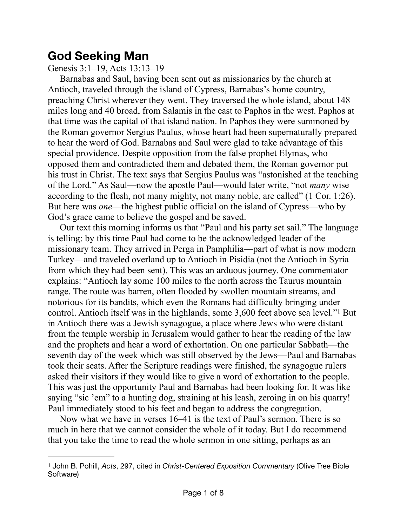## **God Seeking Man**

Genesis 3:1–19, Acts 13:13–19

Barnabas and Saul, having been sent out as missionaries by the church at Antioch, traveled through the island of Cypress, Barnabas's home country, preaching Christ wherever they went. They traversed the whole island, about 148 miles long and 40 broad, from Salamis in the east to Paphos in the west. Paphos at that time was the capital of that island nation. In Paphos they were summoned by the Roman governor Sergius Paulus, whose heart had been supernaturally prepared to hear the word of God. Barnabas and Saul were glad to take advantage of this special providence. Despite opposition from the false prophet Elymas, who opposed them and contradicted them and debated them, the Roman governor put his trust in Christ. The text says that Sergius Paulus was "astonished at the teaching of the Lord." As Saul—now the apostle Paul—would later write, "not *many* wise according to the flesh, not many mighty, not many noble, are called" (1 Cor. 1:26). But here was *one*—the highest public official on the island of Cypress—who by God's grace came to believe the gospel and be saved.

<span id="page-0-1"></span>Our text this morning informs us that "Paul and his party set sail." The language is telling: by this time Paul had come to be the acknowledged leader of the missionary team. They arrived in Perga in Pamphilia—part of what is now modern Turkey—and traveled overland up to Antioch in Pisidia (not the Antioch in Syria from which they had been sent). This was an arduous journey. One commentator explains: "Antioch lay some 100 miles to the north across the Taurus mountain range. The route was barren, often flooded by swollen mountain streams, and notorious for its bandits, which even the Romans had difficulty bringing under control. Antioch itself was in the highlands, some 3,600 feet above sea level.["](#page-0-0)<sup>[1](#page-0-0)</sup> But in Antioch there was a Jewish synagogue, a place where Jews who were distant from the temple worship in Jerusalem would gather to hear the reading of the law and the prophets and hear a word of exhortation. On one particular Sabbath—the seventh day of the week which was still observed by the Jews—Paul and Barnabas took their seats. After the Scripture readings were finished, the synagogue rulers asked their visitors if they would like to give a word of exhortation to the people. This was just the opportunity Paul and Barnabas had been looking for. It was like saying "sic 'em" to a hunting dog, straining at his leash, zeroing in on his quarry! Paul immediately stood to his feet and began to address the congregation.

Now what we have in verses 16–41 is the text of Paul's sermon. There is so much in here that we cannot consider the whole of it today. But I do recommend that you take the time to read the whole sermon in one sitting, perhaps as an

<span id="page-0-0"></span><sup>&</sup>lt;sup>[1](#page-0-1)</sup> John B. Pohill, *Acts*, 297, cited in *Christ-Centered Exposition Commentary* (Olive Tree Bible Software)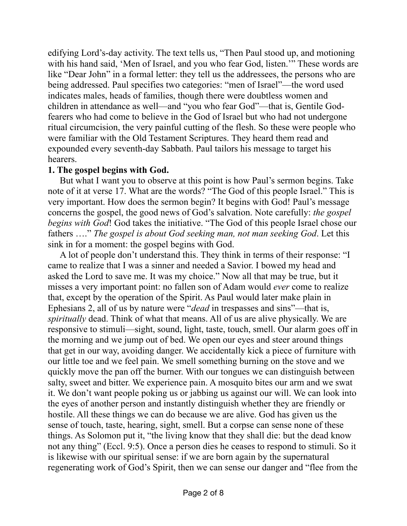edifying Lord's-day activity. The text tells us, "Then Paul stood up, and motioning with his hand said, 'Men of Israel, and you who fear God, listen.'" These words are like "Dear John" in a formal letter: they tell us the addressees, the persons who are being addressed. Paul specifies two categories: "men of Israel"—the word used indicates males, heads of families, though there were doubtless women and children in attendance as well—and "you who fear God"—that is, Gentile Godfearers who had come to believe in the God of Israel but who had not undergone ritual circumcision, the very painful cutting of the flesh. So these were people who were familiar with the Old Testament Scriptures. They heard them read and expounded every seventh-day Sabbath. Paul tailors his message to target his hearers.

## **1. The gospel begins with God.**

But what I want you to observe at this point is how Paul's sermon begins. Take note of it at verse 17. What are the words? "The God of this people Israel." This is very important. How does the sermon begin? It begins with God! Paul's message concerns the gospel, the good news of God's salvation. Note carefully: *the gospel begins with God*! God takes the initiative. "The God of this people Israel chose our fathers …." *The gospel is about God seeking man, not man seeking God*. Let this sink in for a moment: the gospel begins with God.

A lot of people don't understand this. They think in terms of their response: "I came to realize that I was a sinner and needed a Savior. I bowed my head and asked the Lord to save me. It was my choice." Now all that may be true, but it misses a very important point: no fallen son of Adam would *ever* come to realize that, except by the operation of the Spirit. As Paul would later make plain in Ephesians 2, all of us by nature were "*dead* in trespasses and sins"—that is, *spiritually* dead. Think of what that means. All of us are alive physically. We are responsive to stimuli—sight, sound, light, taste, touch, smell. Our alarm goes off in the morning and we jump out of bed. We open our eyes and steer around things that get in our way, avoiding danger. We accidentally kick a piece of furniture with our little toe and we feel pain. We smell something burning on the stove and we quickly move the pan off the burner. With our tongues we can distinguish between salty, sweet and bitter. We experience pain. A mosquito bites our arm and we swat it. We don't want people poking us or jabbing us against our will. We can look into the eyes of another person and instantly distinguish whether they are friendly or hostile. All these things we can do because we are alive. God has given us the sense of touch, taste, hearing, sight, smell. But a corpse can sense none of these things. As Solomon put it, "the living know that they shall die: but the dead know not any thing" (Eccl. 9:5). Once a person dies he ceases to respond to stimuli. So it is likewise with our spiritual sense: if we are born again by the supernatural regenerating work of God's Spirit, then we can sense our danger and "flee from the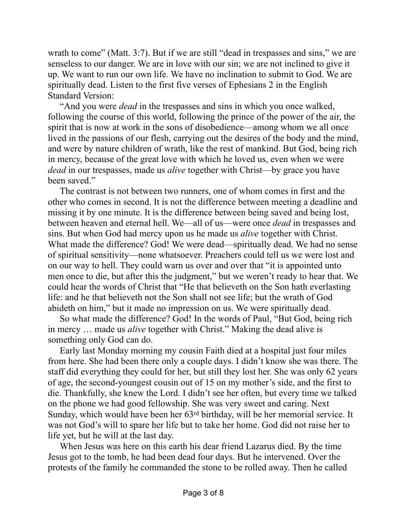wrath to come" (Matt. 3:7). But if we are still "dead in trespasses and sins," we are senseless to our danger. We are in love with our sin; we are not inclined to give it up. We want to run our own life. We have no inclination to submit to God. We are spiritually dead. Listen to the first five verses of Ephesians 2 in the English Standard Version:

"And you were *dead* in the trespasses and sins in which you once walked, following the course of this world, following the prince of the power of the air, the spirit that is now at work in the sons of disobedience—among whom we all once lived in the passions of our flesh, carrying out the desires of the body and the mind, and were by nature children of wrath, like the rest of mankind. But God, being rich in mercy, because of the great love with which he loved us, even when we were *dead* in our trespasses, made us *alive* together with Christ—by grace you have been saved."

The contrast is not between two runners, one of whom comes in first and the other who comes in second. It is not the difference between meeting a deadline and missing it by one minute. It is the difference between being saved and being lost, between heaven and eternal hell. We—all of us—were once *dead* in trespasses and sins. But when God had mercy upon us he made us *alive* together with Christ. What made the difference? God! We were dead—spiritually dead. We had no sense of spiritual sensitivity—none whatsoever. Preachers could tell us we were lost and on our way to hell. They could warn us over and over that "it is appointed unto men once to die, but after this the judgment," but we weren't ready to hear that. We could hear the words of Christ that "He that believeth on the Son hath everlasting life: and he that believeth not the Son shall not see life; but the wrath of God abideth on him," but it made no impression on us. We were spiritually dead.

So what made the difference? God! In the words of Paul, "But God, being rich in mercy … made us *alive* together with Christ." Making the dead alive is something only God can do.

Early last Monday morning my cousin Faith died at a hospital just four miles from here. She had been there only a couple days. I didn't know she was there. The staff did everything they could for her, but still they lost her. She was only 62 years of age, the second-youngest cousin out of 15 on my mother's side, and the first to die. Thankfully, she knew the Lord. I didn't see her often, but every time we talked on the phone we had good fellowship. She was very sweet and caring. Next Sunday, which would have been her 63rd birthday, will be her memorial service. It was not God's will to spare her life but to take her home. God did not raise her to life yet, but he will at the last day.

When Jesus was here on this earth his dear friend Lazarus died. By the time Jesus got to the tomb, he had been dead four days. But he intervened. Over the protests of the family he commanded the stone to be rolled away. Then he called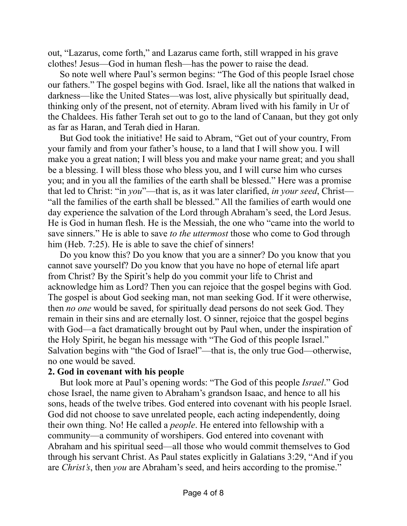out, "Lazarus, come forth," and Lazarus came forth, still wrapped in his grave clothes! Jesus—God in human flesh—has the power to raise the dead.

So note well where Paul's sermon begins: "The God of this people Israel chose our fathers." The gospel begins with God. Israel, like all the nations that walked in darkness—like the United States—was lost, alive physically but spiritually dead, thinking only of the present, not of eternity. Abram lived with his family in Ur of the Chaldees. His father Terah set out to go to the land of Canaan, but they got only as far as Haran, and Terah died in Haran.

But God took the initiative! He said to Abram, "Get out of your country, From your family and from your father's house, to a land that I will show you. I will make you a great nation; I will bless you and make your name great; and you shall be a blessing. I will bless those who bless you, and I will curse him who curses you; and in you all the families of the earth shall be blessed." Here was a promise that led to Christ: "in *you*"—that is, as it was later clarified, *in your seed*, Christ— "all the families of the earth shall be blessed." All the families of earth would one day experience the salvation of the Lord through Abraham's seed, the Lord Jesus. He is God in human flesh. He is the Messiah, the one who "came into the world to save sinners." He is able to save *to the uttermost* those who come to God through him (Heb. 7:25). He is able to save the chief of sinners!

Do you know this? Do you know that you are a sinner? Do you know that you cannot save yourself? Do you know that you have no hope of eternal life apart from Christ? By the Spirit's help do you commit your life to Christ and acknowledge him as Lord? Then you can rejoice that the gospel begins with God. The gospel is about God seeking man, not man seeking God. If it were otherwise, then *no one* would be saved, for spiritually dead persons do not seek God. They remain in their sins and are eternally lost. O sinner, rejoice that the gospel begins with God—a fact dramatically brought out by Paul when, under the inspiration of the Holy Spirit, he began his message with "The God of this people Israel." Salvation begins with "the God of Israel"—that is, the only true God—otherwise, no one would be saved.

## **2. God in covenant with his people**

But look more at Paul's opening words: "The God of this people *Israel*." God chose Israel, the name given to Abraham's grandson Isaac, and hence to all his sons, heads of the twelve tribes. God entered into covenant with his people Israel. God did not choose to save unrelated people, each acting independently, doing their own thing. No! He called a *people*. He entered into fellowship with a community—a community of worshipers. God entered into covenant with Abraham and his spiritual seed—all those who would commit themselves to God through his servant Christ. As Paul states explicitly in Galatians 3:29, "And if you are *Christ's*, then *you* are Abraham's seed, and heirs according to the promise."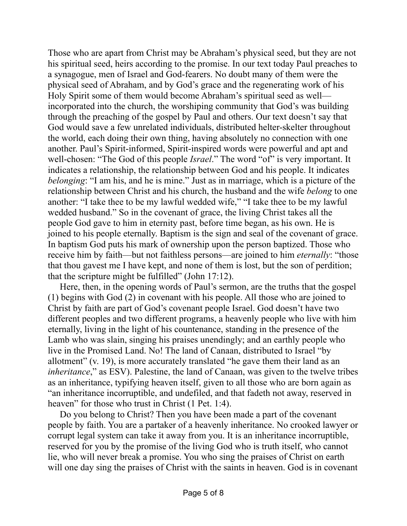Those who are apart from Christ may be Abraham's physical seed, but they are not his spiritual seed, heirs according to the promise. In our text today Paul preaches to a synagogue, men of Israel and God-fearers. No doubt many of them were the physical seed of Abraham, and by God's grace and the regenerating work of his Holy Spirit some of them would become Abraham's spiritual seed as well incorporated into the church, the worshiping community that God's was building through the preaching of the gospel by Paul and others. Our text doesn't say that God would save a few unrelated individuals, distributed helter-skelter throughout the world, each doing their own thing, having absolutely no connection with one another. Paul's Spirit-informed, Spirit-inspired words were powerful and apt and well-chosen: "The God of this people *Israel*." The word "of" is very important. It indicates a relationship, the relationship between God and his people. It indicates *belonging*: "I am his, and he is mine." Just as in marriage, which is a picture of the relationship between Christ and his church, the husband and the wife *belong* to one another: "I take thee to be my lawful wedded wife," "I take thee to be my lawful wedded husband." So in the covenant of grace, the living Christ takes all the people God gave to him in eternity past, before time began, as his own. He is joined to his people eternally. Baptism is the sign and seal of the covenant of grace. In baptism God puts his mark of ownership upon the person baptized. Those who receive him by faith—but not faithless persons—are joined to him *eternally*: "those that thou gavest me I have kept, and none of them is lost, but the son of perdition; that the scripture might be fulfilled" (John 17:12).

Here, then, in the opening words of Paul's sermon, are the truths that the gospel (1) begins with God (2) in covenant with his people. All those who are joined to Christ by faith are part of God's covenant people Israel. God doesn't have two different peoples and two different programs, a heavenly people who live with him eternally, living in the light of his countenance, standing in the presence of the Lamb who was slain, singing his praises unendingly; and an earthly people who live in the Promised Land. No! The land of Canaan, distributed to Israel "by allotment" (v. 19), is more accurately translated "he gave them their land as an *inheritance*," as ESV). Palestine, the land of Canaan, was given to the twelve tribes as an inheritance, typifying heaven itself, given to all those who are born again as "an inheritance incorruptible, and undefiled, and that fadeth not away, reserved in heaven" for those who trust in Christ (1 Pet. 1:4).

Do you belong to Christ? Then you have been made a part of the covenant people by faith. You are a partaker of a heavenly inheritance. No crooked lawyer or corrupt legal system can take it away from you. It is an inheritance incorruptible, reserved for you by the promise of the living God who is truth itself, who cannot lie, who will never break a promise. You who sing the praises of Christ on earth will one day sing the praises of Christ with the saints in heaven. God is in covenant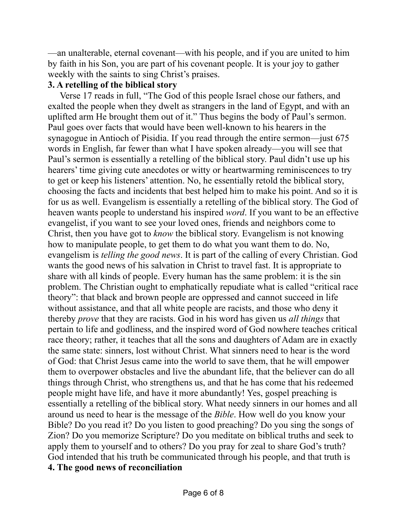—an unalterable, eternal covenant—with his people, and if you are united to him by faith in his Son, you are part of his covenant people. It is your joy to gather weekly with the saints to sing Christ's praises.

## **3. A retelling of the biblical story**

Verse 17 reads in full, "The God of this people Israel chose our fathers, and exalted the people when they dwelt as strangers in the land of Egypt, and with an uplifted arm He brought them out of it." Thus begins the body of Paul's sermon. Paul goes over facts that would have been well-known to his hearers in the synagogue in Antioch of Pisidia. If you read through the entire sermon—just 675 words in English, far fewer than what I have spoken already—you will see that Paul's sermon is essentially a retelling of the biblical story. Paul didn't use up his hearers' time giving cute anecdotes or witty or heartwarming reminiscences to try to get or keep his listeners' attention. No, he essentially retold the biblical story, choosing the facts and incidents that best helped him to make his point. And so it is for us as well. Evangelism is essentially a retelling of the biblical story. The God of heaven wants people to understand his inspired *word*. If you want to be an effective evangelist, if you want to see your loved ones, friends and neighbors come to Christ, then you have got to *know* the biblical story. Evangelism is not knowing how to manipulate people, to get them to do what you want them to do. No, evangelism is *telling the good news*. It is part of the calling of every Christian. God wants the good news of his salvation in Christ to travel fast. It is appropriate to share with all kinds of people. Every human has the same problem: it is the sin problem. The Christian ought to emphatically repudiate what is called "critical race theory": that black and brown people are oppressed and cannot succeed in life without assistance, and that all white people are racists, and those who deny it thereby *prove* that they are racists. God in his word has given us *all things* that pertain to life and godliness, and the inspired word of God nowhere teaches critical race theory; rather, it teaches that all the sons and daughters of Adam are in exactly the same state: sinners, lost without Christ. What sinners need to hear is the word of God: that Christ Jesus came into the world to save them, that he will empower them to overpower obstacles and live the abundant life, that the believer can do all things through Christ, who strengthens us, and that he has come that his redeemed people might have life, and have it more abundantly! Yes, gospel preaching is essentially a retelling of the biblical story. What needy sinners in our homes and all around us need to hear is the message of the *Bible*. How well do you know your Bible? Do you read it? Do you listen to good preaching? Do you sing the songs of Zion? Do you memorize Scripture? Do you meditate on biblical truths and seek to apply them to yourself and to others? Do you pray for zeal to share God's truth? God intended that his truth be communicated through his people, and that truth is **4. The good news of reconciliation**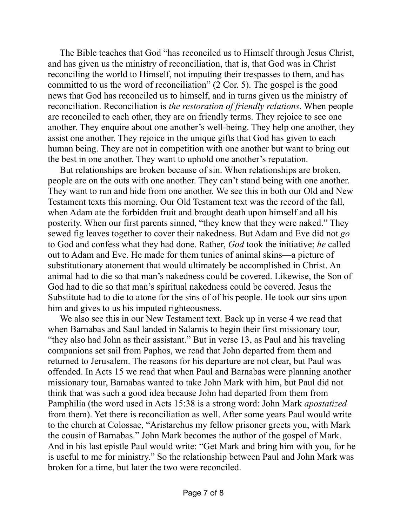The Bible teaches that God "has reconciled us to Himself through Jesus Christ, and has given us the ministry of reconciliation, that is, that God was in Christ reconciling the world to Himself, not imputing their trespasses to them, and has committed to us the word of reconciliation" (2 Cor. 5). The gospel is the good news that God has reconciled us to himself, and in turns given us the ministry of reconciliation. Reconciliation is *the restoration of friendly relations*. When people are reconciled to each other, they are on friendly terms. They rejoice to see one another. They enquire about one another's well-being. They help one another, they assist one another. They rejoice in the unique gifts that God has given to each human being. They are not in competition with one another but want to bring out the best in one another. They want to uphold one another's reputation.

But relationships are broken because of sin. When relationships are broken, people are on the outs with one another. They can't stand being with one another. They want to run and hide from one another. We see this in both our Old and New Testament texts this morning. Our Old Testament text was the record of the fall, when Adam ate the forbidden fruit and brought death upon himself and all his posterity. When our first parents sinned, "they knew that they were naked." They sewed fig leaves together to cover their nakedness. But Adam and Eve did not *go* to God and confess what they had done. Rather, *God* took the initiative; *he* called out to Adam and Eve. He made for them tunics of animal skins—a picture of substitutionary atonement that would ultimately be accomplished in Christ. An animal had to die so that man's nakedness could be covered. Likewise, the Son of God had to die so that man's spiritual nakedness could be covered. Jesus the Substitute had to die to atone for the sins of of his people. He took our sins upon him and gives to us his imputed righteousness.

We also see this in our New Testament text. Back up in verse 4 we read that when Barnabas and Saul landed in Salamis to begin their first missionary tour, "they also had John as their assistant." But in verse 13, as Paul and his traveling companions set sail from Paphos, we read that John departed from them and returned to Jerusalem. The reasons for his departure are not clear, but Paul was offended. In Acts 15 we read that when Paul and Barnabas were planning another missionary tour, Barnabas wanted to take John Mark with him, but Paul did not think that was such a good idea because John had departed from them from Pamphilia (the word used in Acts 15:38 is a strong word: John Mark *apostatized* from them). Yet there is reconciliation as well. After some years Paul would write to the church at Colossae, "Aristarchus my fellow prisoner greets you, with Mark the cousin of Barnabas." John Mark becomes the author of the gospel of Mark. And in his last epistle Paul would write: "Get Mark and bring him with you, for he is useful to me for ministry." So the relationship between Paul and John Mark was broken for a time, but later the two were reconciled.